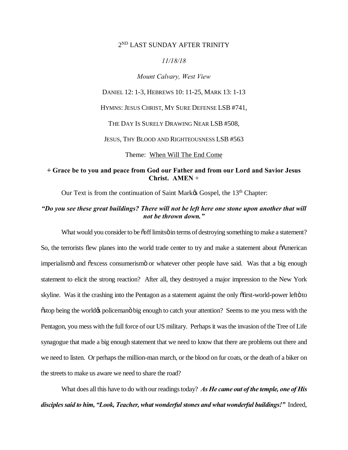## 2ND LAST SUNDAY AFTER TRINITY

#### *11/18/18*

*Mount Calvary, West View*

DANIEL 12: 1-3, HEBREWS 10: 11-25, MARK 13: 1-13

HYMNS: JESUS CHRIST, MY SURE DEFENSE LSB #741,

THE DAY IS SURELY DRAWING NEAR LSB #508,

JESUS, THY BLOOD AND RIGHTEOUSNESS LSB #563

Theme: When Will The End Come

## **+ Grace be to you and peace from God our Father and from our Lord and Savior Jesus Christ. AMEN** +

Our Text is from the continuation of Saint Market Gospel, the 13<sup>th</sup> Chapter:

#### *"Do you see these great buildings? There will not be left here one stone upon another that will not be thrown down."*

What would you consider to be  $\tilde{\text{co}}$ ff limits in terms of destroying something to make a statement? So, the terrorists flew planes into the world trade center to try and make a statement about  $\delta$ American imperialismo and  $\tilde{\text{c}}$  access consumerismo or whatever other people have said. Was that a big enough statement to elicit the strong reaction? After all, they destroyed a major impression to the New York skyline. Was it the crashing into the Pentagon as a statement against the only  $\delta$ first-world-power left $\ddot{\sigma}$  to  $\tilde{\text{c}}$  stop being the world $\alpha$  policemano big enough to catch your attention? Seems to me you mess with the Pentagon, you mess with the full force of our US military. Perhaps it was the invasion of the Tree of Life synagogue that made a big enough statement that we need to know that there are problems out there and we need to listen. Or perhaps the million-man march, or the blood on fur coats, or the death of a biker on the streets to make us aware we need to share the road?

What does all this have to do with our readings today? *As He came out of the temple, one of His disciples said to him, "Look, Teacher, what wonderful stones and what wonderful buildings!"* Indeed,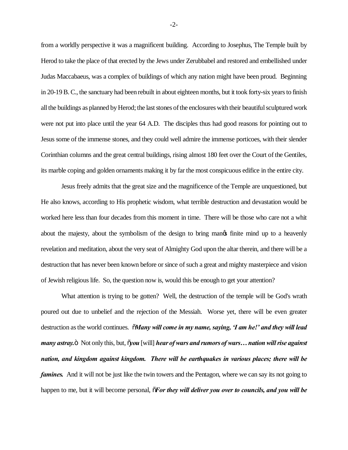from a worldly perspective it was a magnificent building. According to Josephus, The Temple built by Herod to take the place of that erected by the Jews under Zerubbabel and restored and embellished under Judas Maccabaeus, was a complex of buildings of which any nation might have been proud. Beginning in 20-19 B. C., the sanctuary had been rebuilt in about eighteen months, but it took forty-six years to finish all the buildings as planned by Herod; the last stones of the enclosures with their beautiful sculptured work were not put into place until the year 64 A.D. The disciples thus had good reasons for pointing out to Jesus some of the immense stones, and they could well admire the immense porticoes, with their slender Corinthian columns and the great central buildings, rising almost 180 feet over the Court of the Gentiles, its marble coping and golden ornaments making it by far the most conspicuous edifice in the entire city.

Jesus freely admits that the great size and the magnificence of the Temple are unquestioned, but He also knows, according to His prophetic wisdom, what terrible destruction and devastation would be worked here less than four decades from this moment in time. There will be those who care not a whit about the majesty, about the symbolism of the design to bring mange finite mind up to a heavenly revelation and meditation, about the very seat of Almighty God upon the altar therein, and there will be a destruction that has never been known before or since of such a great and mighty masterpiece and vision of Jewish religious life. So, the question now is, would this be enough to get your attention?

What attention is trying to be gotten? Well, the destruction of the temple will be God's wrath poured out due to unbelief and the rejection of the Messiah. Worse yet, there will be even greater destruction as the world continues. "*Many will come in my name, saying, 'I am he!' and they will lead many astray.*  $\ddot{\text{o}}$  Not only this, but,  $\ddot{\text{o}}$ *you* [will] *hear of wars and rumors of wars… nation will rise against nation, and kingdom against kingdom. There will be earthquakes in various places; there will be famines.* And it will not be just like the twin towers and the Pentagon, where we can say its not going to happen to me, but it will become personal,  $\tilde{\sigma}$ *For they will deliver you over to councils, and you will be* 

-2-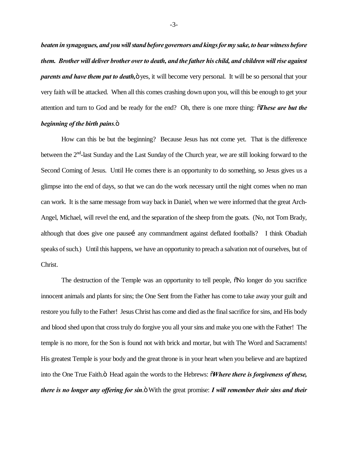*beaten in synagogues, and you will stand before governors and kings for my sake, to bear witness before them. Brother will deliver brother over to death, and the father his child, and children will rise against parents and have them put to death,*  $\ddot{\text{o}}$  yes, it will become very personal. It will be so personal that your very faith will be attacked. When all this comes crashing down upon you, will this be enough to get your attention and turn to God and be ready for the end? Oh, there is one more thing: "*These are but the beginning of the birth pains.* $\ddot{\text{o}}$ 

How can this be but the beginning? Because Jesus has not come yet. That is the difference between the 2nd-last Sunday and the Last Sunday of the Church year, we are still looking forward to the Second Coming of Jesus. Until He comes there is an opportunity to do something, so Jesus gives us a glimpse into the end of days, so that we can do the work necessary until the night comes when no man can work. It is the same message from way back in Daniel, when we were informed that the great Arch-Angel, Michael, will revel the end, and the separation of the sheep from the goats. (No, not Tom Brady, although that does give one pause i any commandment against deflated footballs? I think Obadiah speaks of such.) Until this happens, we have an opportunity to preach a salvation not of ourselves, but of Christ.

The destruction of the Temple was an opportunity to tell people,  $\delta$ No longer do you sacrifice innocent animals and plants for sins; the One Sent from the Father has come to take away your guilt and restore you fully to the Father! Jesus Christ has come and died as the final sacrifice for sins, and His body and blood shed upon that cross truly do forgive you all your sins and make you one with the Father! The temple is no more, for the Son is found not with brick and mortar, but with The Word and Sacraments! His greatest Temple is your body and the great throne is in your heart when you believe and are baptized into the One True Faith.<sup>"</sup> Head again the words to the Hebrews:  $\tilde{o}$ *Where there is forgiveness of these, there is no longer any offering for sin.*  $\ddot{\text{o}}$  With the great promise: *I will remember their sins and their*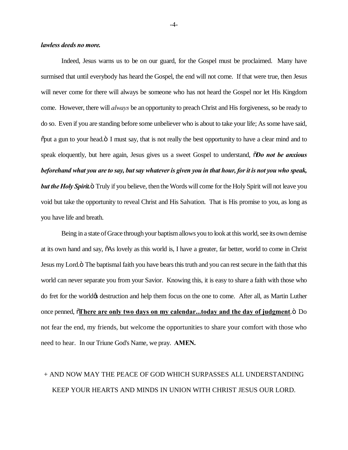#### *lawless deeds no more.*

Indeed, Jesus warns us to be on our guard, for the Gospel must be proclaimed. Many have surmised that until everybody has heard the Gospel, the end will not come. If that were true, then Jesus will never come for there will always be someone who has not heard the Gospel nor let His Kingdom come. However, there will *always* be an opportunity to preach Christ and His forgiveness, so be ready to do so. Even if you are standing before some unbeliever who is about to take your life; As some have said,  $\delta$  put a gun to your head. $\delta$  I must say, that is not really the best opportunity to have a clear mind and to speak eloquently, but here again, Jesus gives us a sweet Gospel to understand, "*Do not be anxious beforehand what you are to say, but say whatever is given you in that hour, for it is not you who speak, but the Holy Spirit.*" Truly if you believe, then the Words will come for the Holy Spirit will not leave you void but take the opportunity to reveal Christ and His Salvation. That is His promise to you, as long as you have life and breath.

Being in a state of Grace through your baptism allows you to look at this world, see its own demise at its own hand and say,  $\delta$ As lovely as this world is, I have a greater, far better, world to come in Christ Jesus my Lord." The baptismal faith you have bears this truth and you can rest secure in the faith that this world can never separate you from your Savior. Knowing this, it is easy to share a faith with those who do fret for the world's destruction and help them focus on the one to come. After all, as Martin Luther once penned,  $\delta$ There are only two days on my calendar...today and the day of judgment. $\delta$  Do not fear the end, my friends, but welcome the opportunities to share your comfort with those who need to hear. In our Triune God's Name, we pray. **AMEN.**

# + AND NOW MAY THE PEACE OF GOD WHICH SURPASSES ALL UNDERSTANDING KEEP YOUR HEARTS AND MINDS IN UNION WITH CHRIST JESUS OUR LORD.